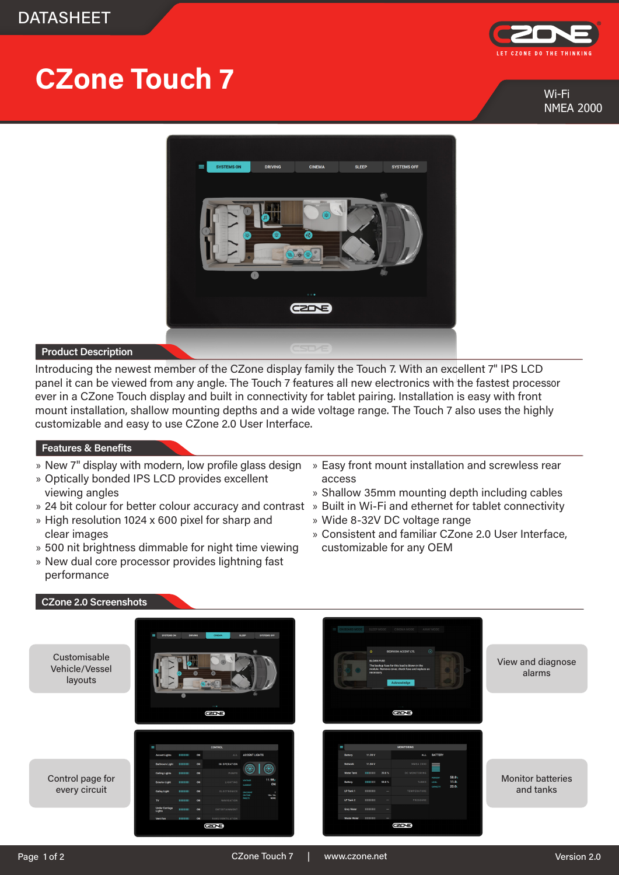

## **CZone Touch 7**

Wi-Fi NMEA 2000



## **Product Description**

Introducing the newest member of the CZone display family the Touch 7. With an excellent 7" IPS LCD panel it can be viewed from any angle. The Touch 7 features all new electronics with the fastest processor ever in a CZone Touch display and built in connectivity for tablet pairing. Installation is easy with front mount installation, shallow mounting depths and a wide voltage range. The Touch 7 also uses the highly customizable and easy to use CZone 2.0 User Interface.

## **Features & Benefits**

- » New 7" display with modern, low profile glass design
- » Optically bonded IPS LCD provides excellent viewing angles
- » 24 bit colour for better colour accuracy and contrast  $\,$  » Built in Wi-Fi and ethernet for tablet connectivity
- » High resolution 1024 x 600 pixel for sharp and clear images
- » 500 nit brightness dimmable for night time viewing
- » New dual core processor provides lightning fast performance
- access » Shallow 35mm mounting depth including cables
- 

» Easy front mount installation and screwless rear

- » Wide 8-32V DC voltage range
- » Consistent and familiar CZone 2.0 User Interface, customizable for any OEM

## **CZone 2.0 Screenshots**